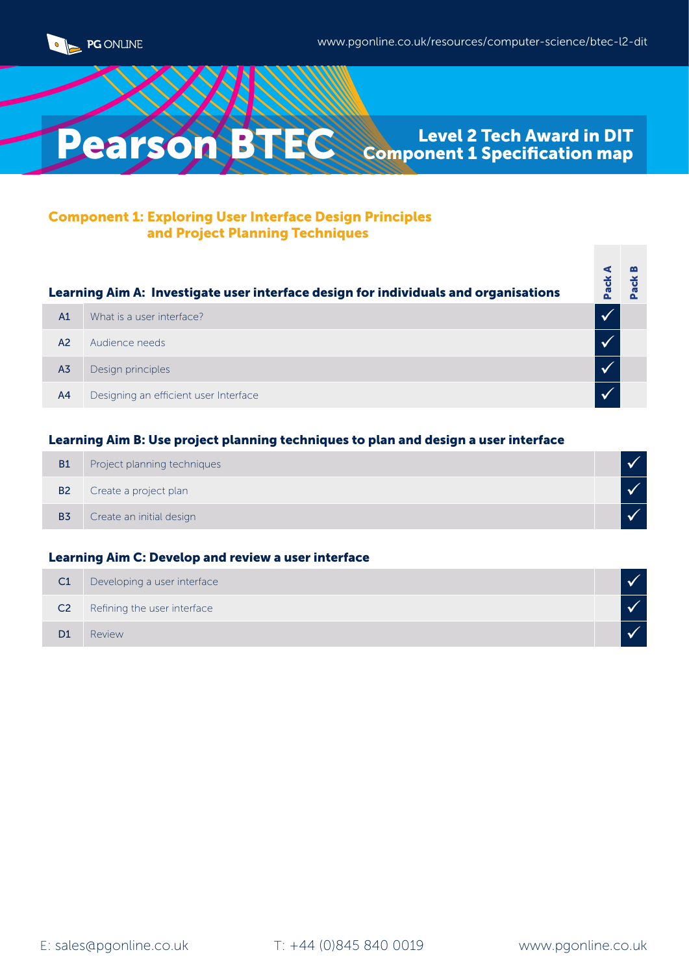



#### Component 1: Exploring User Interface Design Principles and Project Planning Techniques

| Learning Aim A: Investigate user interface design for individuals and organisations |                                       | $\ddot{\sigma}$ |
|-------------------------------------------------------------------------------------|---------------------------------------|-----------------|
| A1                                                                                  | What is a user interface?             |                 |
| A2                                                                                  | Audience needs                        |                 |
| A <sub>3</sub>                                                                      | Design principles                     |                 |
| A <sub>4</sub>                                                                      | Designing an efficient user Interface |                 |

#### Learning Aim B: Use project planning techniques to plan and design a user interface

| <b>B1</b>      | Project planning techniques |  |
|----------------|-----------------------------|--|
| <b>B2</b>      | Create a project plan       |  |
| B <sub>3</sub> | Create an initial design    |  |

#### Learning Aim C: Develop and review a user interface

| C <sub>1</sub> | Developing a user interface |  |
|----------------|-----------------------------|--|
| C <sub>2</sub> | Refining the user interface |  |
| D <sub>1</sub> | Review                      |  |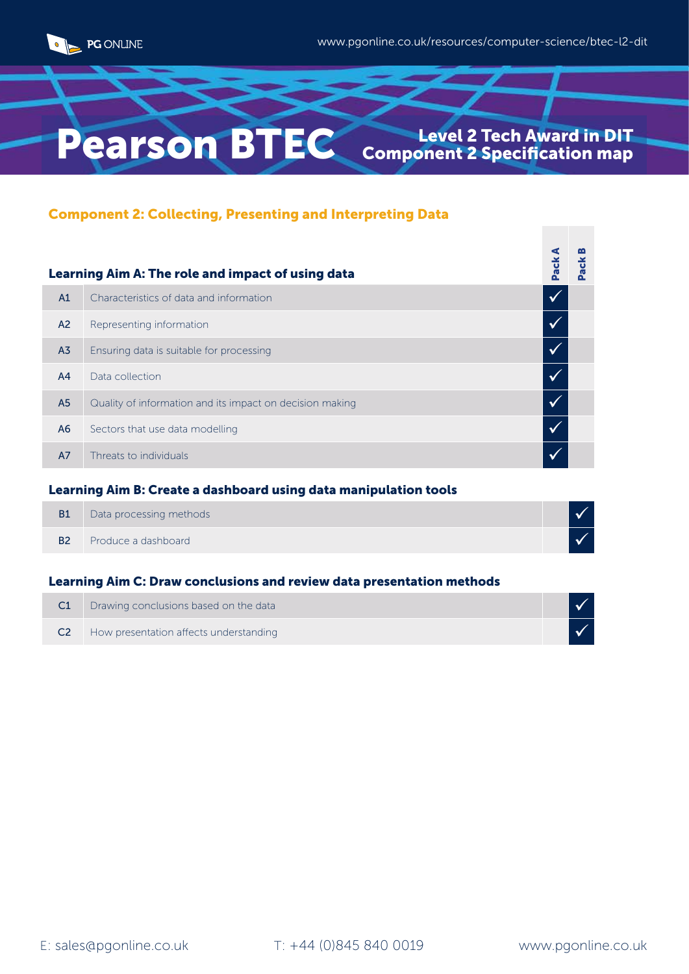

# Pearson BTEC Component 2 Specification map

## Component 2: Collecting, Presenting and Interpreting Data

|                | Learning Aim A: The role and impact of using data        | Pack | ack |
|----------------|----------------------------------------------------------|------|-----|
| A1             | Characteristics of data and information                  |      |     |
| A <sup>2</sup> | Representing information                                 |      |     |
| A <sub>3</sub> | Ensuring data is suitable for processing                 |      |     |
| A4             | Data collection                                          |      |     |
| A <sub>5</sub> | Quality of information and its impact on decision making |      |     |
| A <sub>6</sub> | Sectors that use data modelling                          |      |     |
| A7             | Threats to individuals                                   |      |     |

#### Learning Aim B: Create a dashboard using data manipulation tools

| <b>B1</b> | Data processing methods |  |
|-----------|-------------------------|--|
| <b>B2</b> | Produce a dashboard     |  |

#### Learning Aim C: Draw conclusions and review data presentation methods

| Drawing conclusions based on the data            |  |
|--------------------------------------------------|--|
| <b>C2</b> How presentation affects understanding |  |